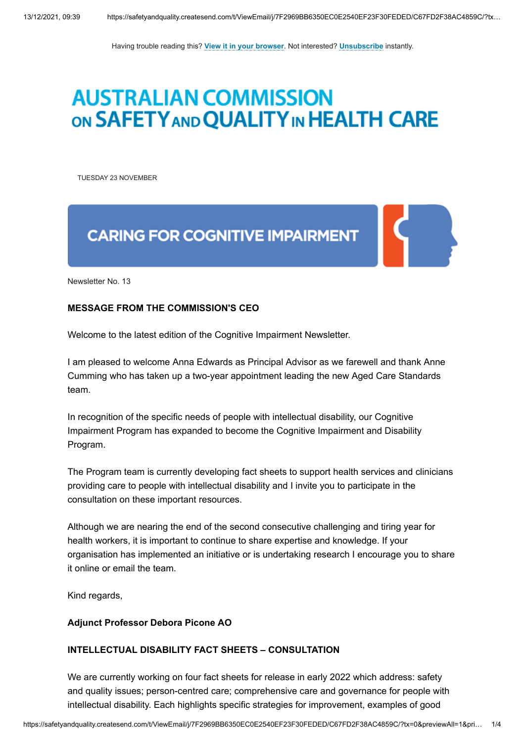Having trouble reading this? **[View it in your browser](http://safetyandquality.createsend1.com/t/j-e-zekddd-l-r/)**. Not interested? **[Unsubscribe](http://safetyandquality.createsend1.com/t/j-u-zekddd-l-y/)** instantly.

# **AUSTRALIAN COMMISSION** ON SAFETY AND QUALITY IN HEALTH CARE

<span id="page-0-0"></span>TUESDAY 23 NOVEMBER

## **CARING FOR COGNITIVE IMPAIRMENT**

Newsletter No. 13

### **MESSAGE FROM THE COMMISSION'S CEO**

Welcome to the latest edition of the Cognitive Impairment Newsletter.

I am pleased to welcome Anna Edwards as Principal Advisor as we farewell and thank Anne Cumming who has taken up a two-year appointment leading the new Aged Care Standards team.

In recognition of the specific needs of people with intellectual disability, our Cognitive Impairment Program has expanded to become the Cognitive Impairment and Disability Program.

The Program team is currently developing fact sheets to support health services and clinicians providing care to people with intellectual disability and I invite you to participate in the consultation on these important resources.

Although we are nearing the end of the second consecutive challenging and tiring year for health workers, it is important to continue to share expertise and knowledge. If your organisation has implemented an initiative or is undertaking research I encourage you to share it online or email the team.

Kind regards,

#### **Adjunct Professor Debora Picone AO**

### **INTELLECTUAL DISABILITY FACT SHEETS – CONSULTATION**

We are currently working on four fact sheets for release in early 2022 which address: safety and quality issues; person-centred care; comprehensive care and governance for people with intellectual disability. Each highlights specific strategies for improvement, examples of good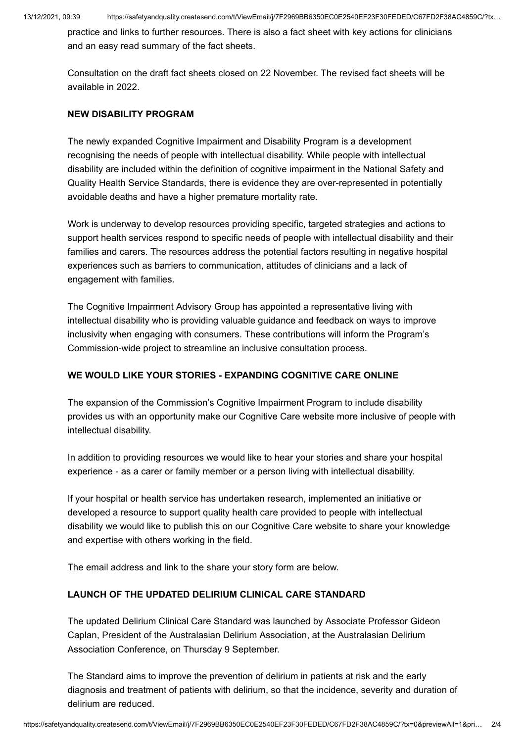practice and links to further resources. There is also a fact sheet with key actions for clinicians and an easy read summary of the fact sheets.

Consultation on the draft fact sheets closed on 22 November. The revised fact sheets will be available in 2022.

## **NEW DISABILITY PROGRAM**

The newly expanded Cognitive Impairment and Disability Program is a development recognising the needs of people with intellectual disability. While people with intellectual disability are included within the definition of cognitive impairment in the National Safety and Quality Health Service Standards, there is evidence they are over-represented in potentially avoidable deaths and have a higher premature mortality rate.

Work is underway to develop resources providing specific, targeted strategies and actions to support health services respond to specific needs of people with intellectual disability and their families and carers. The resources address the potential factors resulting in negative hospital experiences such as barriers to communication, attitudes of clinicians and a lack of engagement with families.

The Cognitive Impairment Advisory Group has appointed a representative living with intellectual disability who is providing valuable guidance and feedback on ways to improve inclusivity when engaging with consumers. These contributions will inform the Program's Commission-wide project to streamline an inclusive consultation process.

## **WE WOULD LIKE YOUR STORIES - EXPANDING COGNITIVE CARE ONLINE**

The expansion of the Commission's Cognitive Impairment Program to include disability provides us with an opportunity make our Cognitive Care website more inclusive of people with intellectual disability.

In addition to providing resources we would like to hear your stories and share your hospital experience - as a carer or family member or a person living with intellectual disability.

If your hospital or health service has undertaken research, implemented an initiative or developed a resource to support quality health care provided to people with intellectual disability we would like to publish this on our Cognitive Care website to share your knowledge and expertise with others working in the field.

The email address and link to the share your story form are below.

## **LAUNCH OF THE UPDATED DELIRIUM CLINICAL CARE STANDARD**

The updated Delirium Clinical Care Standard was launched by Associate Professor Gideon Caplan, President of the Australasian Delirium Association, at the Australasian Delirium Association Conference, on Thursday 9 September.

The Standard aims to improve the prevention of delirium in patients at risk and the early diagnosis and treatment of patients with delirium, so that the incidence, severity and duration of delirium are reduced.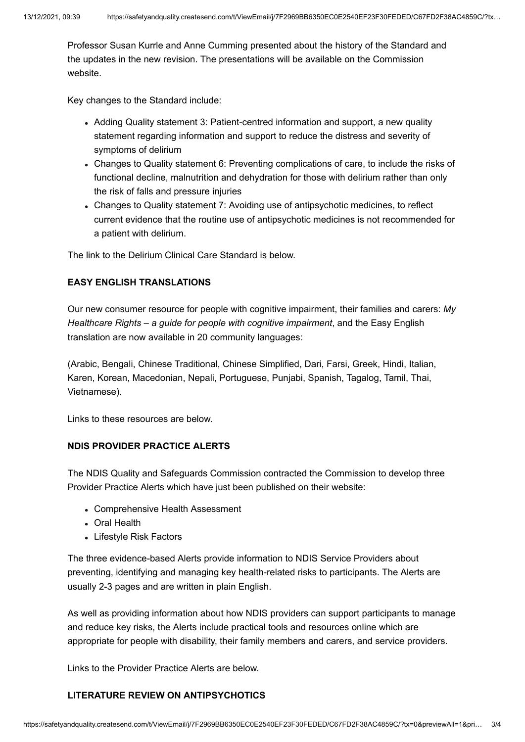Professor Susan Kurrle and Anne Cumming presented about the history of the Standard and the updates in the new revision. The presentations will be available on the Commission website.

Key changes to the Standard include:

- Adding Quality statement 3: Patient-centred information and support, a new quality statement regarding information and support to reduce the distress and severity of symptoms of delirium
- Changes to Quality statement 6: Preventing complications of care, to include the risks of functional decline, malnutrition and dehydration for those with delirium rather than only the risk of falls and pressure injuries
- Changes to Quality statement 7: Avoiding use of antipsychotic medicines, to reflect current evidence that the routine use of antipsychotic medicines is not recommended for a patient with delirium.

The link to the Delirium Clinical Care Standard is below.

## **EASY ENGLISH TRANSLATIONS**

Our new consumer resource for people with cognitive impairment, their families and carers: *My Healthcare Rights – a guide for people with cognitive impairment*, and the Easy English translation are now available in 20 community languages:

(Arabic, Bengali, Chinese Traditional, Chinese Simplified, Dari, Farsi, Greek, Hindi, Italian, Karen, Korean, Macedonian, Nepali, Portuguese, Punjabi, Spanish, Tagalog, Tamil, Thai, Vietnamese).

Links to these resources are below.

## **NDIS PROVIDER PRACTICE ALERTS**

The NDIS Quality and Safeguards Commission contracted the Commission to develop three Provider Practice Alerts which have just been published on their website:

- Comprehensive Health Assessment
- Oral Health
- Lifestyle Risk Factors

The three evidence-based Alerts provide information to NDIS Service Providers about preventing, identifying and managing key health-related risks to participants. The Alerts are usually 2-3 pages and are written in plain English.

As well as providing information about how NDIS providers can support participants to manage and reduce key risks, the Alerts include practical tools and resources online which are appropriate for people with disability, their family members and carers, and service providers.

Links to the Provider Practice Alerts are below.

### **LITERATURE REVIEW ON ANTIPSYCHOTICS**